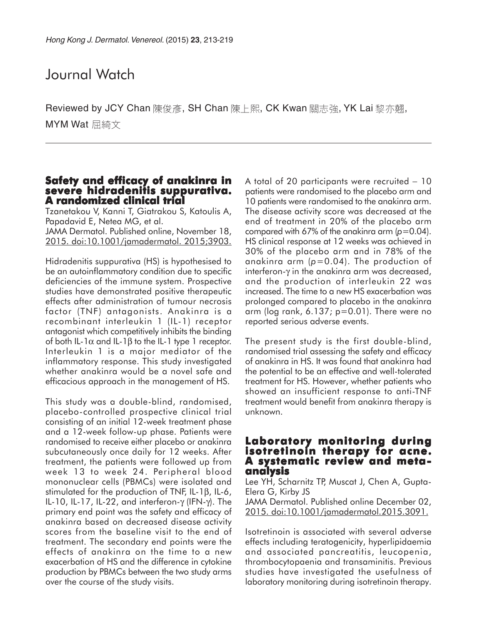# Journal Watch

Reviewed by JCY Chan 陳俊彥, SH Chan 陳上熙, CK Kwan 關志強, YK Lai 黎亦翹, MYM Wat 屈綺文

## **Safety and efficacy of anakinra in severe hidradenitis suppurativa. severe suppurativa. A randomized clinical trial A clinical trial**

Tzanetakou V, Kanni T, Giatrakou S, Katoulis A, Papadavid E, Netea MG, et al.

JAMA Dermatol. Published online, November 18, 2015. doi:10.1001/jamadermatol. 2015;3903.

Hidradenitis suppurativa (HS) is hypothesised to be an autoinflammatory condition due to specific deficiencies of the immune system. Prospective studies have demonstrated positive therapeutic effects after administration of tumour necrosis factor (TNF) antagonists. Anakinra is a recombinant interleukin 1 (IL-1) receptor antagonist which competitively inhibits the binding of both IL-1α and IL-1β to the IL-1 type 1 receptor. Interleukin 1 is a major mediator of the inflammatory response. This study investigated whether anakinra would be a novel safe and efficacious approach in the management of HS.

This study was a double-blind, randomised, placebo-controlled prospective clinical trial consisting of an initial 12-week treatment phase and a 12-week follow-up phase. Patients were randomised to receive either placebo or anakinra subcutaneously once daily for 12 weeks. After treatment, the patients were followed up from week 13 to week 24. Peripheral blood mononuclear cells (PBMCs) were isolated and stimulated for the production of TNF, IL-1β, IL-6, IL-10, IL-17, IL-22, and interferon-γ (IFN-γ). The primary end point was the safety and efficacy of anakinra based on decreased disease activity scores from the baseline visit to the end of treatment. The secondary end points were the effects of anakinra on the time to a new exacerbation of HS and the difference in cytokine production by PBMCs between the two study arms over the course of the study visits.

A total of 20 participants were recruited − 10 patients were randomised to the placebo arm and 10 patients were randomised to the anakinra arm. The disease activity score was decreased at the end of treatment in 20% of the placebo arm compared with 67% of the anakinra arm (*p*=0.04). HS clinical response at 12 weeks was achieved in 30% of the placebo arm and in 78% of the anakinra arm (*p*=0.04). The production of interferon-γ in the anakinra arm was decreased, and the production of interleukin 22 was increased. The time to a new HS exacerbation was prolonged compared to placebo in the anakinra arm (log rank, 6.137; p=0.01). There were no reported serious adverse events.

The present study is the first double-blind, randomised trial assessing the safety and efficacy of anakinra in HS. It was found that anakinra had the potential to be an effective and well-tolerated treatment for HS. However, whether patients who showed an insufficient response to anti-TNF treatment would benefit from anakinra therapy is unknown.

# **Laboratory monitoring during isotretinoin therapy for acne. isotretinoin therapy for acne. A systematic review and meta- analysis**

Lee YH, Scharnitz TP, Muscat J, Chen A, Gupta-Elera G, Kirby JS JAMA Dermatol. Published online December 02,

2015. doi:10.1001/jamadermatol.2015.3091.

Isotretinoin is associated with several adverse effects including teratogenicity, hyperlipidaemia and associated pancreatitis, leucopenia, thrombocytopaenia and transaminitis. Previous studies have investigated the usefulness of laboratory monitoring during isotretinoin therapy.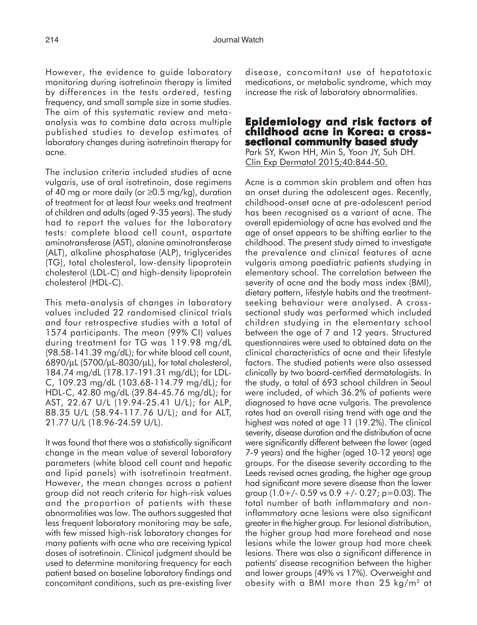However, the evidence to guide laboratory monitoring during isotretinoin therapy is limited by differences in the tests ordered, testing frequency, and small sample size in some studies. The aim of this systematic review and metaanalysis was to combine data across multiple published studies to develop estimates of laboratory changes during isotretinoin therapy for acne.

The inclusion criteria included studies of acne vulgaris, use of oral isotretinoin, dose regimens of 40 mg or more daily (or ≥0.5 mg/kg), duration of treatment for at least four weeks and treatment of children and adults (aged 9-35 years). The study had to report the values for the laboratory tests: complete blood cell count, aspartate aminotransferase (AST), alanine aminotransferase (ALT), alkaline phosphatase (ALP), triglycerides (TG), total cholesterol, low-density lipoprotein cholesterol (LDL-C) and high-density lipoprotein cholesterol (HDL-C).

This meta-analysis of changes in laboratory values included 22 randomised clinical trials and four retrospective studies with a total of 1574 participants. The mean (99% CI) values during treatment for TG was 119.98 mg/dL (98.58-141.39 mg/dL); for white blood cell count, 6890/µL (5700/µL-8030/µL), for total cholesterol, 184.74 mg/dL (178.17-191.31 mg/dL); for LDL-C, 109.23 mg/dL (103.68-114.79 mg/dL); for HDL-C, 42.80 mg/dL (39.84-45.76 mg/dL); for AST, 22.67 U/L (19.94-25.41 U/L); for ALP, 88.35 U/L (58.94-117.76 U/L); and for ALT, 21.77 U/L (18.96-24.59 U/L).

It was found that there was a statistically significant change in the mean value of several laboratory parameters (white blood cell count and hepatic and lipid panels) with isotretinoin treatment. However, the mean changes across a patient group did not reach criteria for high-risk values and the proportion of patients with these abnormalities was low. The authors suggested that less frequent laboratory monitoring may be safe, with few missed high-risk laboratory changes for many patients with acne who are receiving typical doses of isotretinoin. Clinical judgment should be used to determine monitoring frequency for each patient based on baseline laboratory findings and concomitant conditions, such as pre-existing liver

disease, concomitant use of hepatotoxic medications, or metabolic syndrome, which may increase the risk of laboratory abnormalities.

# **Epidemiology and risk factors of Epidemiology risk of childhood acne in Korea: a cross- sectional community based study**

Park SY, Kwon HH, Min S, Yoon JY, Suh DH. Clin Exp Dermatol 2015;40:844-50.

Acne is a common skin problem and often has an onset during the adolescent ages. Recently, childhood-onset acne at pre-adolescent period has been recognised as a variant of acne. The overall epidemiology of acne has evolved and the age of onset appears to be shifting earlier to the childhood. The present study aimed to investigate the prevalence and clinical features of acne vulgaris among paediatric patients studying in elementary school. The correlation between the severity of acne and the body mass index (BMI), dietary pattern, lifestyle habits and the treatmentseeking behaviour were analysed. A crosssectional study was performed which included children studying in the elementary school between the age of 7 and 12 years. Structured questionnaires were used to obtained data on the clinical characteristics of acne and their lifestyle factors. The studied patients were also assessed clinically by two board-certified dermatologists. In the study, a total of 693 school children in Seoul were included, of which 36.2% of patients were diagnosed to have acne vulgaris. The prevalence rates had an overall rising trend with age and the highest was noted at age 11 (19.2%). The clinical severity, disease duration and the distribution of acne were significantly different between the lower (aged 7-9 years) and the higher (aged 10-12 years) age groups. For the disease severity according to the Leeds revised acnes grading, the higher age group had significant more severe disease than the lower group  $(1.0+/0.59 \text{ vs } 0.9 +/-0.27; \text{ p} = 0.03)$ . The total number of both inflammatory and noninflammatory acne lesions were also significant greater in the higher group. For lesional distribution, the higher group had more forehead and nose lesions while the lower group had more cheek lesions. There was also a significant difference in patients' disease recognition between the higher and lower groups (49% vs 17%). Overweight and obesity with a BMI more than 25 kg/m2 at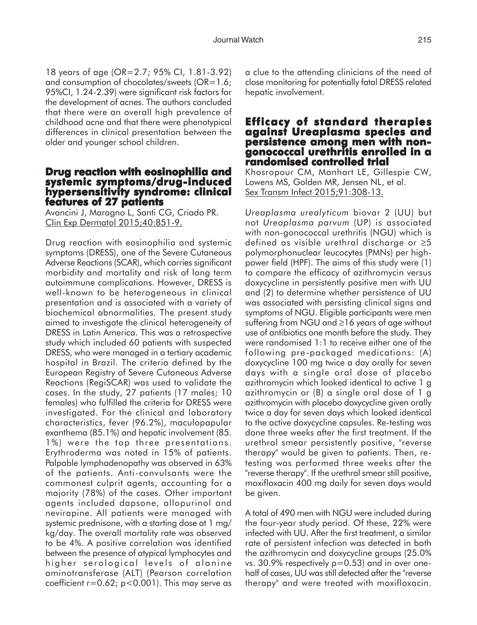18 years of age (OR=2.7; 95% CI, 1.81-3.92) and consumption of chocolates/sweets (OR=1.6; 95%CI, 1.24-2.39) were significant risk factors for the development of acnes. The authors concluded that there were an overall high prevalence of childhood acne and that there were phenotypical differences in clinical presentation between the older and younger school children.

## **Drug reaction with eosinophilia and systemic symptoms/drug-induced hypersensitivity syndrome: clinical hypersensitivity clinical features of 27 patients**

Avancini J, Maragno L, Santi CG, Criado PR. Clin Exp Dermatol 2015;40:851-9.

Drug reaction with eosinophilia and systemic symptoms (DRESS), one of the Severe Cutaneous Adverse Reactions (SCAR), which carries significant morbidity and mortality and risk of long term autoimmune complications. However, DRESS is well-known to be heterogeneous in clinical presentation and is associated with a variety of biochemical abnormalities. The present study aimed to investigate the clinical heterogeneity of DRESS in Latin America. This was a retrospective study which included 60 patients with suspected DRESS, who were managed in a tertiary academic hospital in Brazil. The criteria defined by the European Registry of Severe Cutaneous Adverse Reactions (RegiSCAR) was used to validate the cases. In the study, 27 patients (17 males; 10 females) who fulfilled the criteria for DRESS were investigated. For the clinical and laboratory characteristics, fever (96.2%), maculopapular exanthema (85.1%) and hepatic involvement (85. 1%) were the top three presentations. Erythroderma was noted in 15% of patients. Palpable lymphadenopathy was observed in 63% of the patients. Anti-convulsants were the commonest culprit agents, accounting for a majority (78%) of the cases. Other important agents included dapsone, allopurinol and nevirapine. All patients were managed with systemic prednisone, with a starting dose at 1 mg/ kg/day. The overall mortality rate was observed to be 4%. A positive correlation was identified between the presence of atypical lymphocytes and higher serological levels of alanine aminotransferase (ALT) (Pearson correlation coefficient  $r=0.62$ ;  $p<0.001$ ). This may serve as

a clue to the attending clinicians of the need of close monitoring for potentially fatal DRESS related hepatic involvement.

### **Efficacy of standard therapies against Ureaplasma species and persistence among men with nongonococcal urethritis enrolled in a randomised controlled trial controlled trial**

Khosropour CM, Manhart LE, Gillespie CW, Lowens MS, Golden MR, Jensen NL, et al. Sex Transm Infect 2015;91:308-13.

*Ureaplasma urealyticum* biovar 2 (UU) but not *Ureaplasma parvum* (UP) is associated with non-gonococcal urethritis (NGU) which is defined as visible urethral discharge or ≥5 polymorphonuclear leucocytes (PMNs) per highpower field (HPF). The aims of this study were (1) to compare the efficacy of azithromycin versus doxycycline in persistently positive men with UU and (2) to determine whether persistence of UU was associated with persisting clinical signs and symptoms of NGU. Eligible participants were men suffering from NGU and ≥16 years of age without use of antibiotics one month before the study. They were randomised 1:1 to receive either one of the following pre-packaged medications: (A) doxycycline 100 mg twice a day orally for seven days with a single oral dose of placebo azithromycin which looked identical to active 1 g azithromycin or (B) a single oral dose of 1 g azithromycin with placebo doxycycline given orally twice a day for seven days which looked identical to the active doxycycline capsules. Re-testing was done three weeks after the first treatment. If the urethral smear persistently positive, "reverse therapy" would be given to patients. Then, retesting was performed three weeks after the "reverse therapy". If the urethral smear still positive, moxifloxacin 400 mg daily for seven days would be given.

A total of 490 men with NGU were included during the four-year study period. Of these, 22% were infected with UU. After the first treatment, a similar rate of persistent infection was detected in both the azithromycin and doxycycline groups (25.0% vs. 30.9% respectively p=0.53) and in over onehalf of cases, UU was still detected after the "reverse therapy" and were treated with moxifloxacin.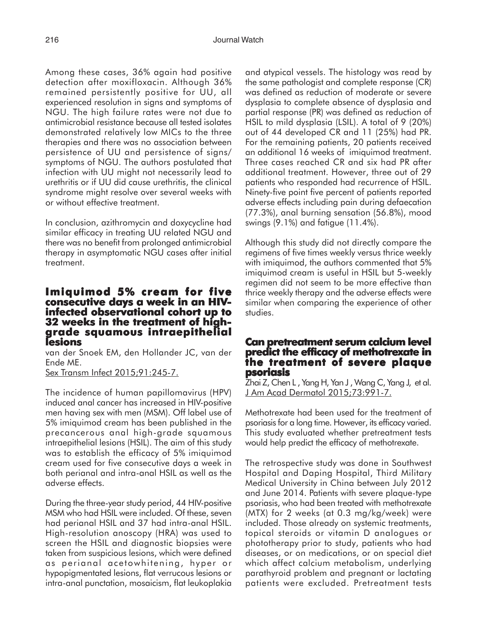Among these cases, 36% again had positive detection after moxifloxacin. Although 36% remained persistently positive for UU, all experienced resolution in signs and symptoms of NGU. The high failure rates were not due to antimicrobial resistance because all tested isolates demonstrated relatively low MICs to the three therapies and there was no association between persistence of UU and persistence of signs/ symptoms of NGU. The authors postulated that infection with UU might not necessarily lead to urethritis or if UU did cause urethritis, the clinical syndrome might resolve over several weeks with or without effective treatment.

In conclusion, azithromycin and doxycycline had similar efficacy in treating UU related NGU and there was no benefit from prolonged antimicrobial therapy in asymptomatic NGU cases after initial treatment.

# **Imiquimod 5% cream for five consecutive days a week in an HIV- infected observational cohort up to 32 weeks in the treatment of highgrade squamous intraepithelial lesions**

van der Snoek EM, den Hollander JC, van der Ende ME.

Sex Transm Infect 2015;91:245-7.

The incidence of human papillomavirus (HPV) induced anal cancer has increased in HIV-positive men having sex with men (MSM). Off label use of 5% imiquimod cream has been published in the precancerous anal high-grade squamous intraepithelial lesions (HSIL). The aim of this study was to establish the efficacy of 5% imiquimod cream used for five consecutive days a week in both perianal and intra-anal HSIL as well as the adverse effects.

During the three-year study period, 44 HIV-positive MSM who had HSIL were included. Of these, seven had perianal HSIL and 37 had intra-anal HSIL. High-resolution anoscopy (HRA) was used to screen the HSIL and diagnostic biopsies were taken from suspicious lesions, which were defined as perianal acetowhitening, hyper or hypopigmentated lesions, flat verrucous lesions or intra-anal punctation, mosaicism, flat leukoplakia

and atypical vessels. The histology was read by the same pathologist and complete response (CR) was defined as reduction of moderate or severe dysplasia to complete absence of dysplasia and partial response (PR) was defined as reduction of HSIL to mild dysplasia (LSIL). A total of 9 (20%) out of 44 developed CR and 11 (25%) had PR. For the remaining patients, 20 patients received an additional 16 weeks of imiquimod treatment. Three cases reached CR and six had PR after additional treatment. However, three out of 29 patients who responded had recurrence of HSIL. Ninety-five point five percent of patients reported adverse effects including pain during defaecation (77.3%), anal burning sensation (56.8%), mood swings (9.1%) and fatigue (11.4%).

Although this study did not directly compare the regimens of five times weekly versus thrice weekly with imiguimod, the authors commented that 5% imiquimod cream is useful in HSIL but 5-weekly regimen did not seem to be more effective than thrice weekly therapy and the adverse effects were similar when comparing the experience of other studies.

#### **Can pretreatment serum calcium level serum level predict the efficacy of methotrexate in the treatment of severe plaque psoriasis**

Zhai Z, Chen L , Yang H, Yan J , Wang C, Yang J, et al. J Am Acad Dermatol 2015;73:991-7.

Methotrexate had been used for the treatment of psoriasis for a long time. However, its efficacy varied. This study evaluated whether pretreatment tests would help predict the efficacy of methotrexate.

The retrospective study was done in Southwest Hospital and Daping Hospital, Third Military Medical University in China between July 2012 and June 2014. Patients with severe plaque-type psoriasis, who had been treated with methotrexate (MTX) for 2 weeks (at 0.3 mg/kg/week) were included. Those already on systemic treatments, topical steroids or vitamin D analogues or phototherapy prior to study, patients who had diseases, or on medications, or on special diet which affect calcium metabolism, underlying parathyroid problem and pregnant or lactating patients were excluded. Pretreatment tests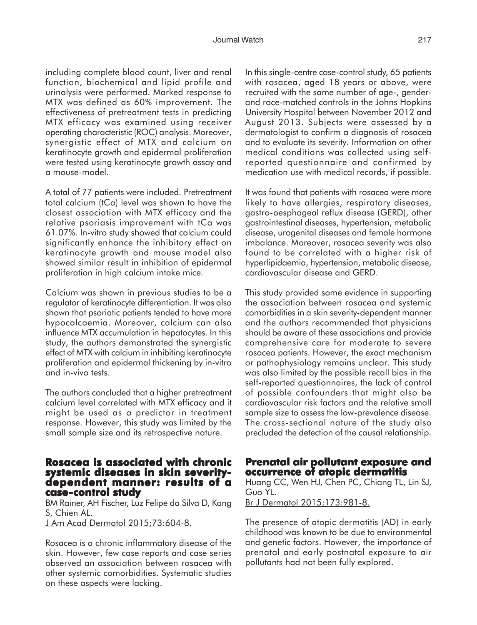including complete blood count, liver and renal function, biochemical and lipid profile and urinalysis were performed. Marked response to MTX was defined as 60% improvement. The effectiveness of pretreatment tests in predicting MTX efficacy was examined using receiver operating characteristic (ROC) analysis. Moreover, synergistic effect of MTX and calcium on keratinocyte growth and epidermal proliferation were tested using keratinocyte growth assay and a mouse-model.

A total of 77 patients were included. Pretreatment total calcium (tCa) level was shown to have the closest association with MTX efficacy and the relative psoriasis improvement with tCa was 61.07%. In-vitro study showed that calcium could significantly enhance the inhibitory effect on keratinocyte growth and mouse model also showed similar result in inhibition of epidermal proliferation in high calcium intake mice.

Calcium was shown in previous studies to be a regulator of keratinocyte differentiation. It was also shown that psoriatic patients tended to have more hypocalcaemia. Moreover, calcium can also influence MTX accumulation in hepatocytes. In this study, the authors demonstrated the synergistic effect of MTX with calcium in inhibiting keratinocyte proliferation and epidermal thickening by in-vitro and in-vivo tests.

The authors concluded that a higher pretreatment calcium level correlated with MTX efficacy and it might be used as a predictor in treatment response. However, this study was limited by the small sample size and its retrospective nature.

# **Rosacea is associated with chronic systemic diseases in skin severity- dependent manner: results of a case-control study**

BM Rainer, AH Fischer, Luz Felipe da Silva D, Kang S, Chien AL.

J Am Acad Dermatol 2015;73:604-8.

Rosacea is a chronic inflammatory disease of the skin. However, few case reports and case series observed an association between rosacea with other systemic comorbidities. Systematic studies on these aspects were lacking.

In this single-centre case-control study, 65 patients with rosacea, aged 18 years or above, were recruited with the same number of age-, genderand race-matched controls in the Johns Hopkins University Hospital between November 2012 and August 2013. Subjects were assessed by a dermatologist to confirm a diagnosis of rosacea and to evaluate its severity. Information on other medical conditions was collected using selfreported questionnaire and confirmed by medication use with medical records, if possible.

It was found that patients with rosacea were more likely to have allergies, respiratory diseases, gastro-oesphageal reflux disease (GERD), other gastrointestinal diseases, hypertension, metabolic disease, urogenital diseases and female hormone imbalance. Moreover, rosacea severity was also found to be correlated with a higher risk of hyperlipidaemia, hypertension, metabolic disease, cardiovascular disease and GERD.

This study provided some evidence in supporting the association between rosacea and systemic comorbidities in a skin severity-dependent manner and the authors recommended that physicians should be aware of these associations and provide comprehensive care for moderate to severe rosacea patients. However, the exact mechanism or pathophysiology remains unclear. This study was also limited by the possible recall bias in the self-reported questionnaires, the lack of control of possible confounders that might also be cardiovascular risk factors and the relative small sample size to assess the low-prevalence disease. The cross-sectional nature of the study also precluded the detection of the causal relationship.

# **Prenatal air pollutant exposure and occurrence of atopic dermatitis**

Huang CC, Wen HJ, Chen PC, Chiang TL, Lin SJ, Guo YL.

Br J Dermatol 2015;173:981-8.

The presence of atopic dermatitis (AD) in early childhood was known to be due to environmental and genetic factors. However, the importance of prenatal and early postnatal exposure to air pollutants had not been fully explored.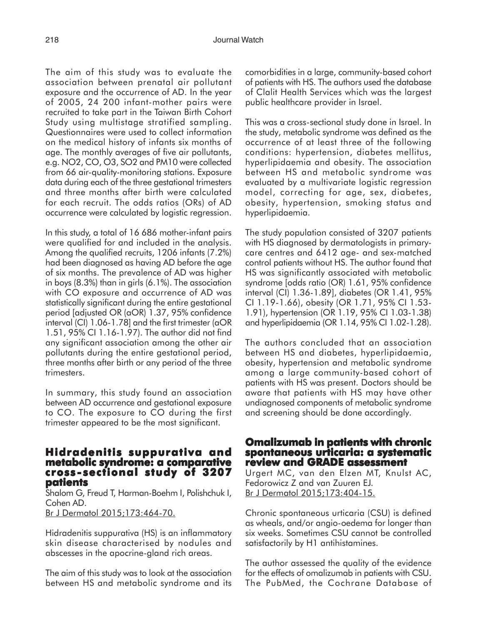The aim of this study was to evaluate the association between prenatal air pollutant exposure and the occurrence of AD. In the year of 2005, 24 200 infant-mother pairs were recruited to take part in the Taiwan Birth Cohort Study using multistage stratified sampling. Questionnaires were used to collect information on the medical history of infants six months of age. The monthly averages of five air pollutants, e.g. NO2, CO, O3, SO2 and PM10 were collected from 66 air-quality-monitoring stations. Exposure data during each of the three gestational trimesters and three months after birth were calculated for each recruit. The odds ratios (ORs) of AD occurrence were calculated by logistic regression.

In this study, a total of 16 686 mother-infant pairs were qualified for and included in the analysis. Among the qualified recruits, 1206 infants (7.2%) had been diagnosed as having AD before the age of six months. The prevalence of AD was higher in boys (8.3%) than in girls (6.1%). The association with CO exposure and occurrence of AD was statistically significant during the entire gestational period [adjusted OR (aOR) 1.37, 95% confidence interval (CI) 1.06-1.78] and the first trimester (aOR 1.51, 95% CI 1.16-1.97). The author did not find any significant association among the other air pollutants during the entire gestational period, three months after birth or any period of the three trimesters.

In summary, this study found an association between AD occurrence and gestational exposure to CO. The exposure to CO during the first trimester appeared to be the most significant.

#### **Hidradenitis suppurativa and metabolic syndrome: a comparative cross - sectional study of 3207 patients**

Shalom G, Freud T, Harman-Boehm I, Polishchuk I, Cohen AD.

Br J Dermatol 2015;173:464-70.

Hidradenitis suppurativa (HS) is an inflammatory skin disease characterised by nodules and abscesses in the apocrine-gland rich areas.

The aim of this study was to look at the association between HS and metabolic syndrome and its comorbidities in a large, community-based cohort of patients with HS. The authors used the database of Clalit Health Services which was the largest public healthcare provider in Israel.

This was a cross-sectional study done in Israel. In the study, metabolic syndrome was defined as the occurrence of at least three of the following conditions: hypertension, diabetes mellitus, hyperlipidaemia and obesity. The association between HS and metabolic syndrome was evaluated by a multivariate logistic regression model, correcting for age, sex, diabetes, obesity, hypertension, smoking status and hyperlipidaemia.

The study population consisted of 3207 patients with HS diagnosed by dermatologists in primarycare centres and 6412 age- and sex-matched control patients without HS. The author found that HS was significantly associated with metabolic syndrome [odds ratio (OR) 1.61, 95% confidence interval (CI) 1.36-1.89], diabetes (OR 1.41, 95% CI 1.19-1.66), obesity (OR 1.71, 95% CI 1.53- 1.91), hypertension (OR 1.19, 95% CI 1.03-1.38) and hyperlipidaemia (OR 1.14, 95% CI 1.02-1.28).

The authors concluded that an association between HS and diabetes, hyperlipidaemia, obesity, hypertension and metabolic syndrome among a large community-based cohort of patients with HS was present. Doctors should be aware that patients with HS may have other undiagnosed components of metabolic syndrome and screening should be done accordingly.

## **Omalizumab in patients with chronic spontaneous urticaria: a systematic review and GRADE assessment review and GRADE assessment**

Urgert MC, van den Elzen MT, Knulst AC, Fedorowicz Z and van Zuuren EJ. Br J Dermatol 2015;173:404-15.

Chronic spontaneous urticaria (CSU) is defined as wheals, and/or angio-oedema for longer than six weeks. Sometimes CSU cannot be controlled satisfactorily by H1 antihistamines.

The author assessed the quality of the evidence for the effects of omalizumab in patients with CSU. The PubMed, the Cochrane Database of